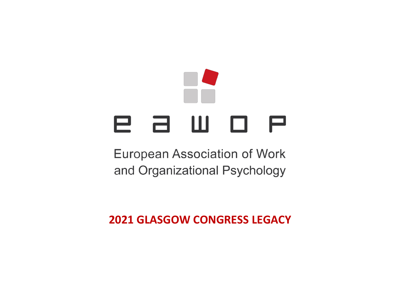## е а ш о е

**European Association of Work** and Organizational Psychology

**2021 GLASGOW CONGRESS LEGACY**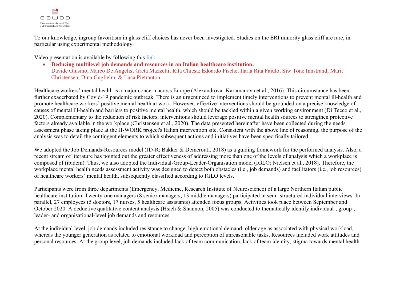

To our knowledge, ingroup favoritism in glass cliff choices has never been investigated. Studies on the ERI minority glass cliff are rare, in particular using experimental methodology.

Video presentation is available by following this [link.](https://youtu.be/77lb12RceAM)

x **Deducing multilevel job demands and resources in an Italian healthcare institution.** Davide Giusino; Marco De Angelis; Greta Mazzetti; Rita Chiesa; Edoardo Pische; Ilaria Rita Faiulo; Siw Tone Innstrand; Marit Christensen; Dina Guglielmi & Luca Pietrantoni

Healthcare workers' mental health is a major concern across Europe (Alexandrova- Karamanova et al., 2016). This circumstance has been further exacerbated by Covid-19 pandemic outbreak. There is an urgent need to implement timely interventions to prevent mental ill-health and promote healthcare workers' positive mental health at work. However, effective interventions should be grounded on a precise knowledge of causes of mental ill-health and barriers to positive mental health, which should be tackled within a given working environment (Di Tecco et al., 2020). Complementary to the reduction of risk factors, interventions should leverage positive mental health sources to strengthen protective factors already available in the workplace (Christensen et al., 2020). The data presented hereinafter have been collected during the needs assessment phase taking place at the H-WORK project's Italian intervention site. Consistent with the above line of reasoning, the purpose of the analysis was to detail the contingent elements to which subsequent actions and initiatives have been specifically tailored.

We adopted the Job Demands-Resources model (JD-R; Bakker & Demerouti, 2018) as a guiding framework for the performed analysis. Also, a recent stream of literature has pointed out the greater effectiveness of addressing more than one of the levels of analysis which a workplace is composed of (ibidem). Thus, we also adopted the Individual-Group-Leader-Organisation model (IGLO; Nielsen et al., 2018). Therefore, the workplace mental health needs assessment activity was designed to detect both obstacles (i.e., job demands) and facilitators (i.e., job resources) of healthcare workers' mental health, subsequently classified according to IGLO levels.

Participants were from three departments (Emergency, Medicine, Research Institute of Neuroscience) of a large Northern Italian public healthcare institution. Twenty-one managers (8 senior managers, 13 middle managers) participated in semi-structured individual interviews. In parallel, 27 employees (5 doctors, 17 nurses, 5 healthcare assistants) attended focus groups. Activities took place between September and October 2020. A deductive qualitative content analysis (Hsieh & Shannon, 2005) was conducted to thematically identify individual-, group-, leader- and organisational-level job demands and resources.

At the individual level, job demands included resistance to change, high emotional demand, older age as associated with physical workload, whereas the younger generation as related to emotional workload and perception of unreasonable tasks. Resources included work attitudes and personal resources. At the group level, job demands included lack of team communication, lack of team identity, stigma towards mental health